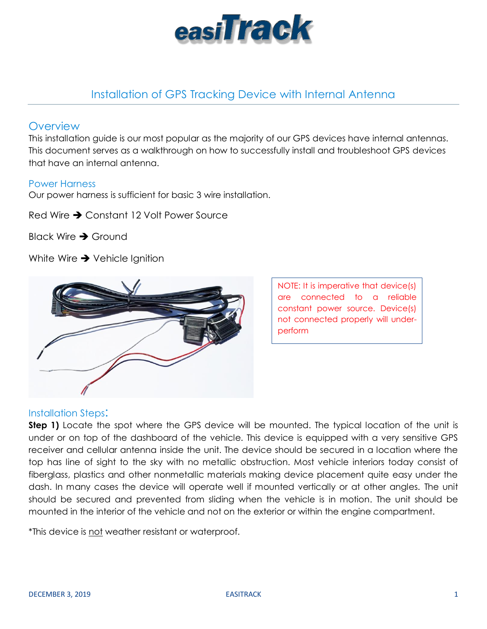

# Installation of GPS Tracking Device with Internal Antenna

# **Overview**

This installation guide is our most popular as the majority of our GPS devices have internal antennas. This document serves as a walkthrough on how to successfully install and troubleshoot GPS devices that have an internal antenna.

#### Power Harness

Our power harness is sufficient for basic 3 wire installation.

Red Wire  $\rightarrow$  Constant 12 Volt Power Source

Black Wire  $\rightarrow$  Ground

White Wire  $\rightarrow$  Vehicle Ignition



NOTE: It is imperative that device(s) are connected to a reliable constant power source. Device(s) not connected properly will underperform

#### Installation Steps:

**Step 1)** Locate the spot where the GPS device will be mounted. The typical location of the unit is under or on top of the dashboard of the vehicle. This device is equipped with a very sensitive GPS receiver and cellular antenna inside the unit. The device should be secured in a location where the top has line of sight to the sky with no metallic obstruction. Most vehicle interiors today consist of fiberglass, plastics and other nonmetallic materials making device placement quite easy under the dash. In many cases the device will operate well if mounted vertically or at other angles. The unit should be secured and prevented from sliding when the vehicle is in motion. The unit should be mounted in the interior of the vehicle and not on the exterior or within the engine compartment.

\*This device is not weather resistant or waterproof.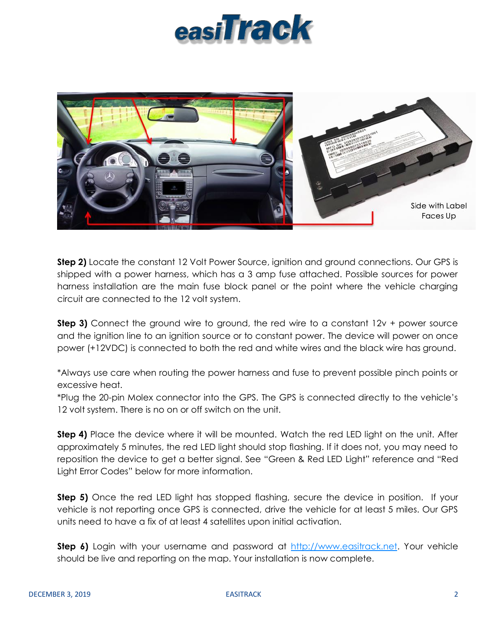# easiTrack



**Step 2)** Locate the constant 12 Volt Power Source, ignition and ground connections. Our GPS is shipped with a power harness, which has a 3 amp fuse attached. Possible sources for power harness installation are the main fuse block panel or the point where the vehicle charging circuit are connected to the 12 volt system.

**Step 3)** Connect the ground wire to ground, the red wire to a constant 12v + power source and the ignition line to an ignition source or to constant power. The device will power on once power (+12VDC) is connected to both the red and white wires and the black wire has ground.

\*Always use care when routing the power harness and fuse to prevent possible pinch points or excessive heat.

\*Plug the 20-pin Molex connector into the GPS. The GPS is connected directly to the vehicle's 12 volt system. There is no on or off switch on the unit.

**Step 4)** Place the device where it will be mounted. Watch the red LED light on the unit. After approximately 5 minutes, the red LED light should stop flashing. If it does not, you may need to reposition the device to get a better signal. See "Green & Red LED Light" reference and "Red Light Error Codes" below for more information.

**Step 5)** Once the red LED light has stopped flashing, secure the device in position. If your vehicle is not reporting once GPS is connected, drive the vehicle for at least 5 miles. Our GPS units need to have a fix of at least 4 satellites upon initial activation.

**Step 6)** Login with your username and password at [http://www.easitrack.net.](http://www.easitrack.net/) Your vehicle should be live and reporting on the map. Your installation is now complete.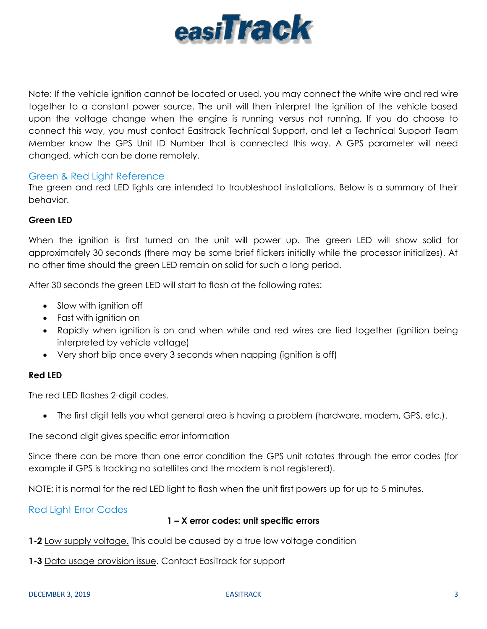

Note: If the vehicle ignition cannot be located or used, you may connect the white wire and red wire together to a constant power source. The unit will then interpret the ignition of the vehicle based upon the voltage change when the engine is running versus not running. If you do choose to connect this way, you must contact Easitrack Technical Support, and let a Technical Support Team Member know the GPS Unit ID Number that is connected this way. A GPS parameter will need changed, which can be done remotely.

#### Green & Red Light Reference

The green and red LED lights are intended to troubleshoot installations. Below is a summary of their behavior.

#### **Green LED**

When the ignition is first turned on the unit will power up. The green LED will show solid for approximately 30 seconds (there may be some brief flickers initially while the processor initializes). At no other time should the green LED remain on solid for such a long period.

After 30 seconds the green LED will start to flash at the following rates:

- Slow with ignition off
- Fast with ignition on
- Rapidly when ignition is on and when white and red wires are tied together (ignition being interpreted by vehicle voltage)
- Very short blip once every 3 seconds when napping (ignition is off)

#### **Red LED**

The red LED flashes 2-digit codes.

The first digit tells you what general area is having a problem (hardware, modem, GPS, etc.).

The second digit gives specific error information

Since there can be more than one error condition the GPS unit rotates through the error codes (for example if GPS is tracking no satellites and the modem is not registered).

NOTE: it is normal for the red LED light to flash when the unit first powers up for up to 5 minutes.

# Red Light Error Codes

#### **1 – X error codes: unit specific errors**

- **1-2** Low supply voltage. This could be caused by a true low voltage condition
- **1-3** Data usage provision issue. Contact EasiTrack for support